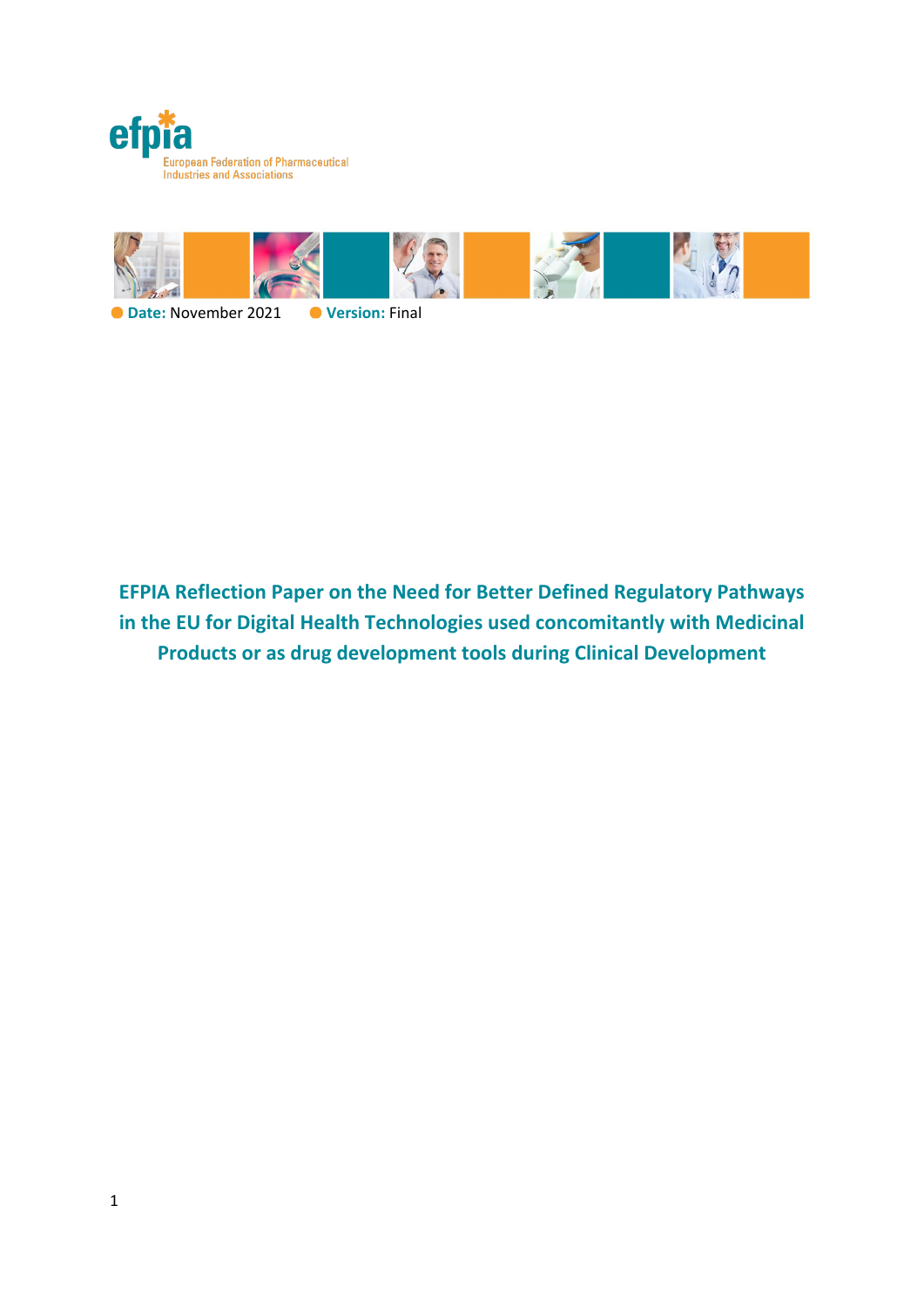



**O** Date: November 2021 **O** Version: Final

**EFPIA Reflection Paper on the Need for Better Defined Regulatory Pathways in the EU for Digital Health Technologies used concomitantly with Medicinal Products or as drug development tools during Clinical Development**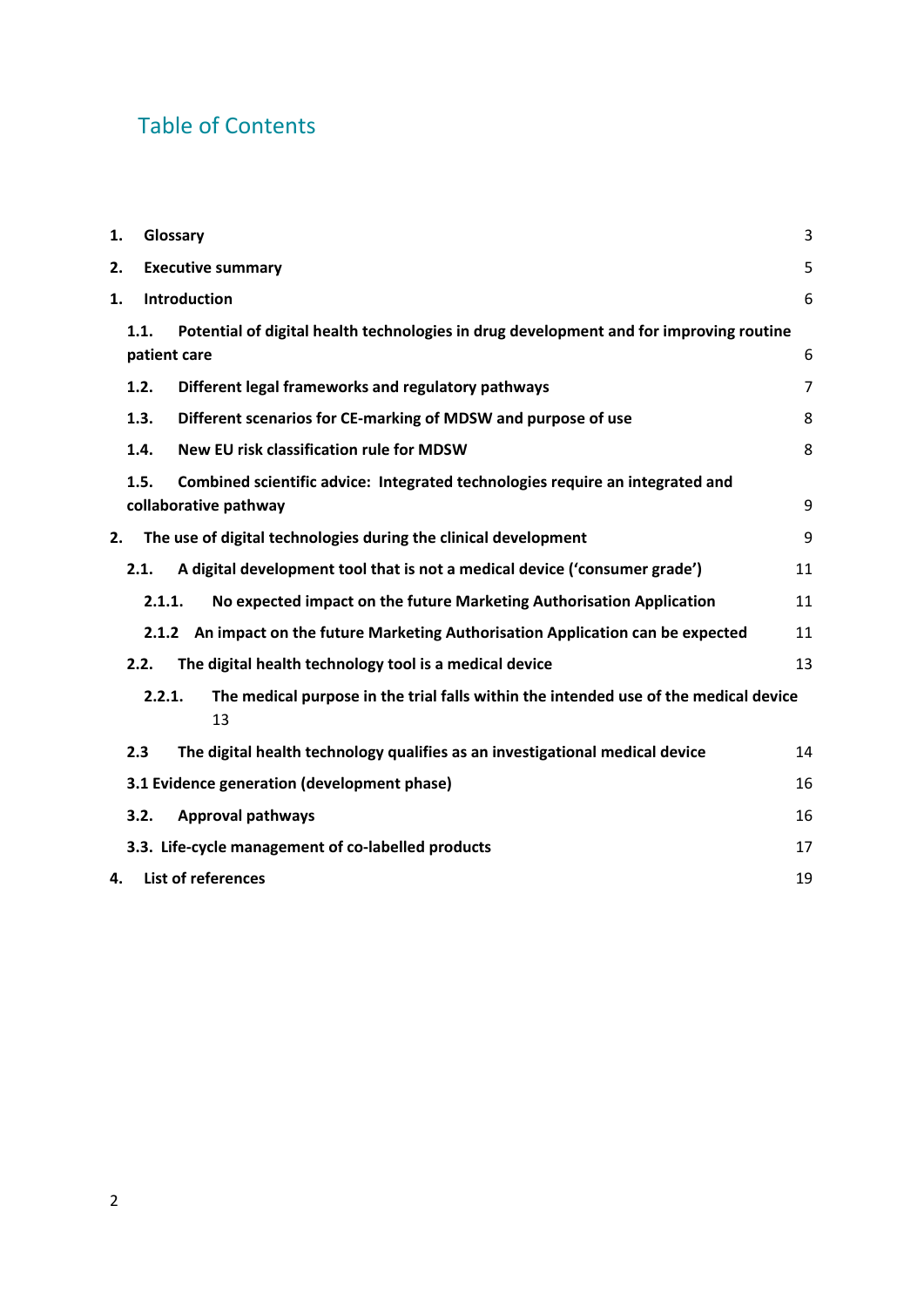# Table of Contents

| 1.                                                                                                   |                                             | Glossary                                                                               |                                                                                   |                |  |  |  |
|------------------------------------------------------------------------------------------------------|---------------------------------------------|----------------------------------------------------------------------------------------|-----------------------------------------------------------------------------------|----------------|--|--|--|
| 2.                                                                                                   | <b>Executive summary</b>                    |                                                                                        |                                                                                   |                |  |  |  |
| 1.                                                                                                   |                                             | <b>Introduction</b>                                                                    |                                                                                   | 6              |  |  |  |
|                                                                                                      | 1.1.                                        | Potential of digital health technologies in drug development and for improving routine |                                                                                   |                |  |  |  |
|                                                                                                      |                                             | patient care                                                                           |                                                                                   |                |  |  |  |
|                                                                                                      | 1.2.                                        |                                                                                        | Different legal frameworks and regulatory pathways                                | $\overline{7}$ |  |  |  |
|                                                                                                      | 1.3.                                        |                                                                                        | Different scenarios for CE-marking of MDSW and purpose of use                     | 8              |  |  |  |
|                                                                                                      | 1.4.                                        |                                                                                        | New EU risk classification rule for MDSW                                          | 8              |  |  |  |
| Combined scientific advice: Integrated technologies require an integrated and<br>1.5.                |                                             |                                                                                        |                                                                                   |                |  |  |  |
| collaborative pathway                                                                                |                                             |                                                                                        |                                                                                   |                |  |  |  |
| 2.                                                                                                   |                                             |                                                                                        | The use of digital technologies during the clinical development                   | 9              |  |  |  |
|                                                                                                      | 2.1.                                        |                                                                                        | A digital development tool that is not a medical device ('consumer grade')        | 11             |  |  |  |
|                                                                                                      |                                             | No expected impact on the future Marketing Authorisation Application<br>2.1.1.         |                                                                                   | 11             |  |  |  |
|                                                                                                      |                                             |                                                                                        | 2.1.2 An impact on the future Marketing Authorisation Application can be expected | 11             |  |  |  |
|                                                                                                      | 2.2.                                        |                                                                                        | The digital health technology tool is a medical device                            | 13             |  |  |  |
| The medical purpose in the trial falls within the intended use of the medical device<br>2.2.1.<br>13 |                                             |                                                                                        |                                                                                   |                |  |  |  |
|                                                                                                      | 2.3                                         |                                                                                        | The digital health technology qualifies as an investigational medical device      | 14             |  |  |  |
|                                                                                                      | 3.1 Evidence generation (development phase) | 16                                                                                     |                                                                                   |                |  |  |  |
|                                                                                                      | 3.2.                                        |                                                                                        | <b>Approval pathways</b>                                                          | 16             |  |  |  |
|                                                                                                      |                                             |                                                                                        | 3.3. Life-cycle management of co-labelled products                                | 17             |  |  |  |
|                                                                                                      | List of references<br>19<br>4.              |                                                                                        |                                                                                   |                |  |  |  |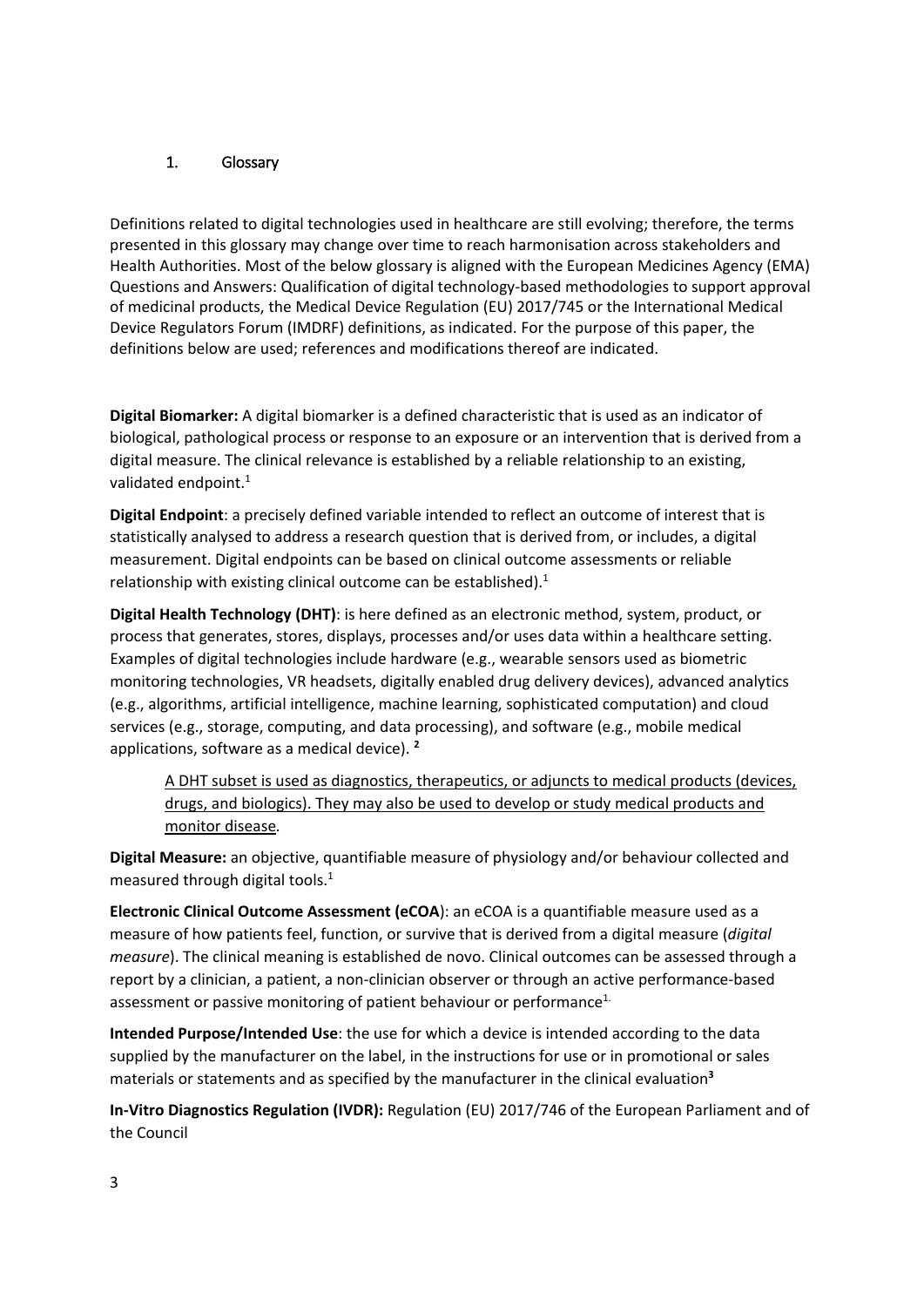#### <span id="page-2-0"></span>1. Glossary

Definitions related to digital technologies used in healthcare are still evolving; therefore, the terms presented in this glossary may change over time to reach harmonisation across stakeholders and Health Authorities. Most of the below glossary is aligned with the European Medicines Agency (EMA) Questions and Answers: Qualification of digital technology-based methodologies to support approval of medicinal products, the Medical Device Regulation (EU) 2017/745 or the International Medical Device Regulators Forum (IMDRF) definitions, as indicated. For the purpose of this paper, the definitions below are used; references and modifications thereof are indicated.

**Digital Biomarker:** A digital biomarker is a defined characteristic that is used as an indicator of biological, pathological process or response to an exposure or an intervention that is derived from a digital measure. The clinical relevance is established by a reliable relationship to an existing, validated endpoint.<sup>1</sup>

**Digital Endpoint**: a precisely defined variable intended to reflect an outcome of interest that is statistically analysed to address a research question that is derived from, or includes, a digital measurement. Digital endpoints can be based on clinical outcome assessments or reliable relationship with existing clinical outcome can be established). $1$ 

**Digital Health Technology (DHT)**: is here defined as an electronic method, system, product, or process that generates, stores, displays, processes and/or uses data within a healthcare setting. Examples of digital technologies include hardware (e.g., wearable sensors used as biometric monitoring technologies, VR headsets, digitally enabled drug delivery devices), advanced analytics (e.g., algorithms, artificial intelligence, machine learning, sophisticated computation) and cloud services (e.g., storage, computing, and data processing), and software (e.g., mobile medical applications, software as a medical device). **<sup>2</sup>**

A DHT subset is used as diagnostics, therapeutics, or adjuncts to medical products (devices, drugs, and biologics). They may also be used to develop or study medical products and monitor disease*.* 

**Digital Measure:** an objective, quantifiable measure of physiology and/or behaviour collected and measured through digital tools.1

**Electronic Clinical Outcome Assessment (eCOA**): an eCOA is a quantifiable measure used as a measure of how patients feel, function, or survive that is derived from a digital measure (*digital measure*). The clinical meaning is established de novo. Clinical outcomes can be assessed through a report by a clinician, a patient, a non-clinician observer or through an active performance-based assessment or passive monitoring of patient behaviour or performance<sup>1.</sup>

**Intended Purpose/Intended Use**: the use for which a device is intended according to the data supplied by the manufacturer on the label, in the instructions for use or in promotional or sales materials or statements and as specified by the manufacturer in the clinical evaluation**<sup>3</sup>**

**In-Vitro Diagnostics Regulation (IVDR):** Regulation (EU) 2017/746 of the European Parliament and of the Council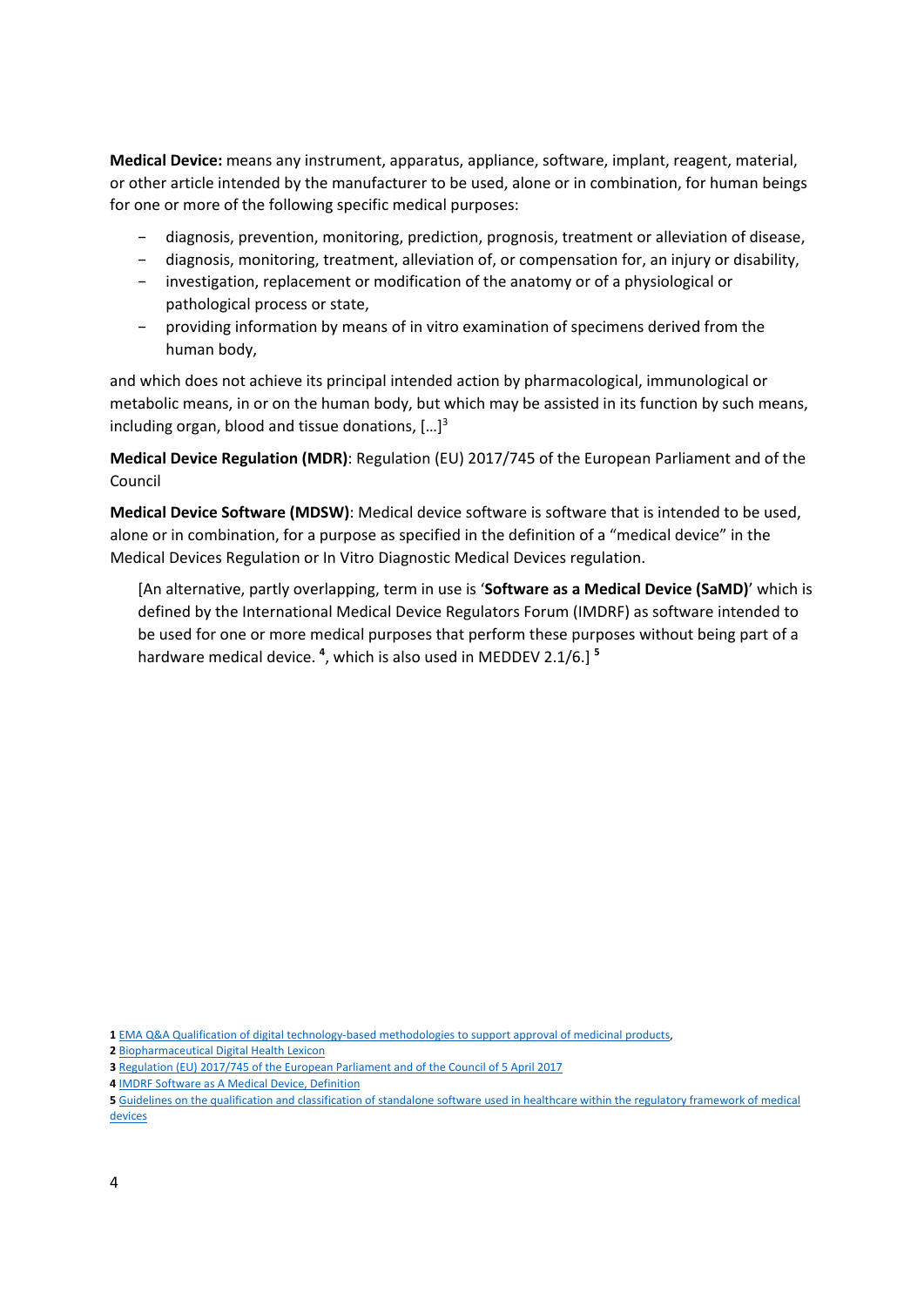**Medical Device:** means any instrument, apparatus, appliance, software, implant, reagent, material, or other article intended by the manufacturer to be used, alone or in combination, for human beings for one or more of the following specific medical purposes:

- − diagnosis, prevention, monitoring, prediction, prognosis, treatment or alleviation of disease,
- − diagnosis, monitoring, treatment, alleviation of, or compensation for, an injury or disability,
- − investigation, replacement or modification of the anatomy or of a physiological or pathological process or state,
- − providing information by means of in vitro examination of specimens derived from the human body,

and which does not achieve its principal intended action by pharmacological, immunological or metabolic means, in or on the human body, but which may be assisted in its function by such means, including organ, blood and tissue donations,  $[...]^3$ 

**Medical Device Regulation (MDR)**: Regulation (EU) 2017/745 of the European Parliament and of the Council

**Medical Device Software (MDSW)**: Medical device software is software that is intended to be used, alone or in combination, for a purpose as specified in the definition of a "medical device" in the Medical Devices Regulation or In Vitro Diagnostic Medical Devices regulation.

[An alternative, partly overlapping, term in use is '**Software as a Medical Device (SaMD)**' which is defined by the International Medical Device Regulators Forum (IMDRF) as software intended to be used for one or more medical purposes that perform these purposes without being part of a hardware medical device. **<sup>4</sup>** , which is also used in MEDDEV 2.1/6.] **<sup>5</sup>**

**4** [IMDRF Software as A Medical Device, Definition](http://www.imdrf.org/docs/imdrf/final/technical/imdrf-tech-131209-samd-key-definitions-140901.pdf)

**<sup>1</sup>** [EMA Q&A Qualification of digital technology-based methodologies to support approval of medicinal products,](https://www.ema.europa.eu/en/documents/other/questions-answers-qualification-digital-technology-based-methodologies-support-approval-medicinal_en.pdf)

**<sup>2</sup>** [Biopharmaceutical Digital Health Lexicon](https://www.phrma.org/-/media/Project/PhRMA/PhRMA-Org/PhRMA-Org/PDF/P-R/PhRMA-Digital-Health-Lexicon.pdf)

**<sup>3</sup>** Regulation (EU) 2017/745 of the European Parliament and of the Council of 5 April 2017

**<sup>5</sup>** [Guidelines on the qualification and classification of standalone software used in healthcare within the regulatory framework of medical](https://ec.europa.eu/docsroom/documents/17921/attachments/1/translations/en/renditions/native)  [devices](https://ec.europa.eu/docsroom/documents/17921/attachments/1/translations/en/renditions/native)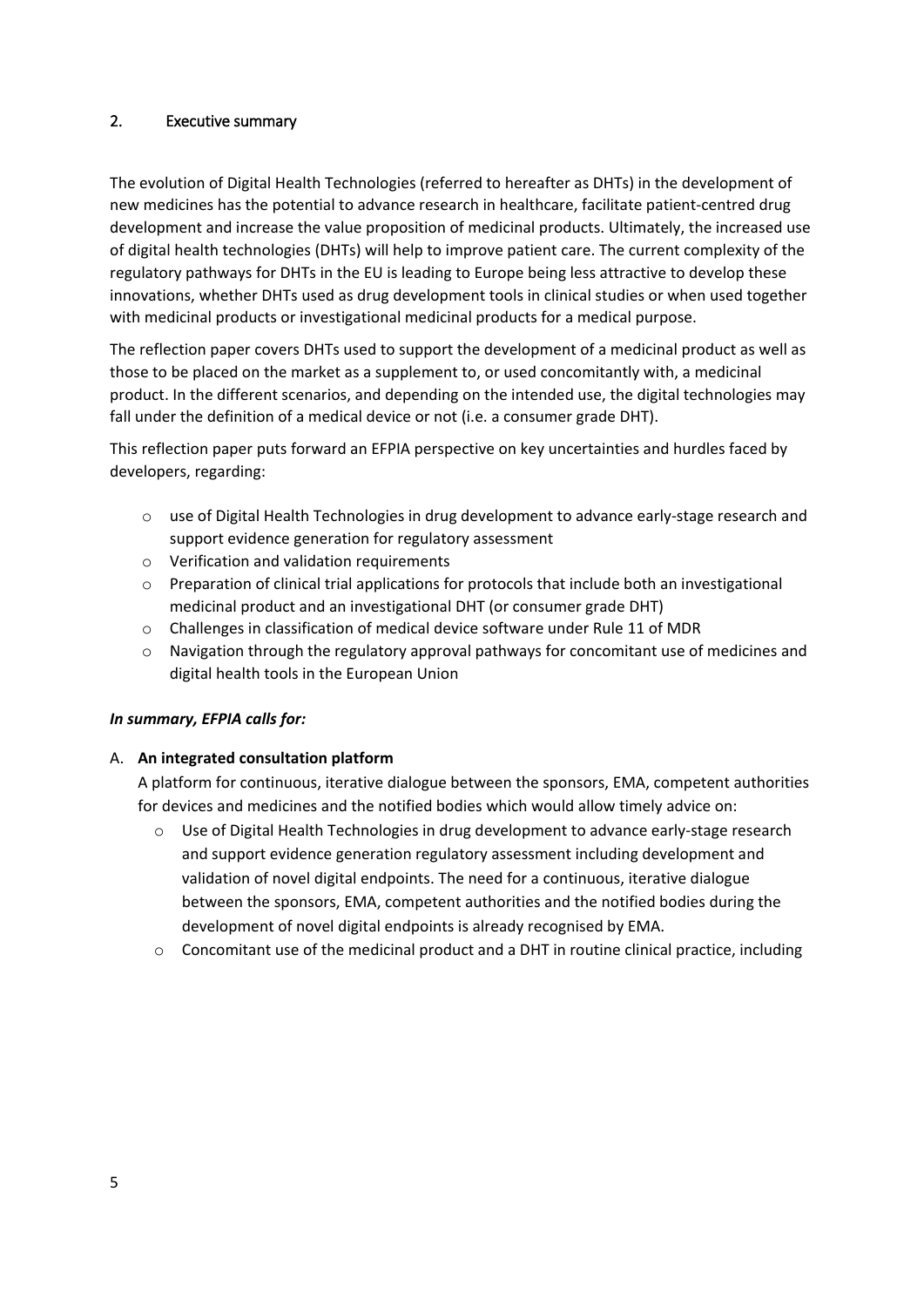### <span id="page-4-0"></span>2. Executive summary

The evolution of Digital Health Technologies (referred to hereafter as DHTs) in the development of new medicines has the potential to advance research in healthcare, facilitate patient-centred drug development and increase the value proposition of medicinal products. Ultimately, the increased use of digital health technologies (DHTs) will help to improve patient care. The current complexity of the regulatory pathways for DHTs in the EU is leading to Europe being less attractive to develop these innovations, whether DHTs used as drug development tools in clinical studies or when used together with medicinal products or investigational medicinal products for a medical purpose.

The reflection paper covers DHTs used to support the development of a medicinal product as well as those to be placed on the market as a supplement to, or used concomitantly with, a medicinal product. In the different scenarios, and depending on the intended use, the digital technologies may fall under the definition of a medical device or not (i.e. a consumer grade DHT).

This reflection paper puts forward an EFPIA perspective on key uncertainties and hurdles faced by developers, regarding:

- $\circ$  use of Digital Health Technologies in drug development to advance early-stage research and support evidence generation for regulatory assessment
- o Verification and validation requirements
- $\circ$  Preparation of clinical trial applications for protocols that include both an investigational medicinal product and an investigational DHT (or consumer grade DHT)
- o Challenges in classification of medical device software under Rule 11 of MDR
- $\circ$  Navigation through the regulatory approval pathways for concomitant use of medicines and digital health tools in the European Union

#### *In summary, EFPIA calls for:*

#### A. **An integrated consultation platform**

A platform for continuous, iterative dialogue between the sponsors, EMA, competent authorities for devices and medicines and the notified bodies which would allow timely advice on:

- o Use of Digital Health Technologies in drug development to advance early-stage research and support evidence generation regulatory assessment including development and validation of novel digital endpoints. The need for a continuous, iterative dialogue between the sponsors, EMA, competent authorities and the notified bodies during the development of novel digital endpoints is already recognised by EMA.
- $\circ$  Concomitant use of the medicinal product and a DHT in routine clinical practice, including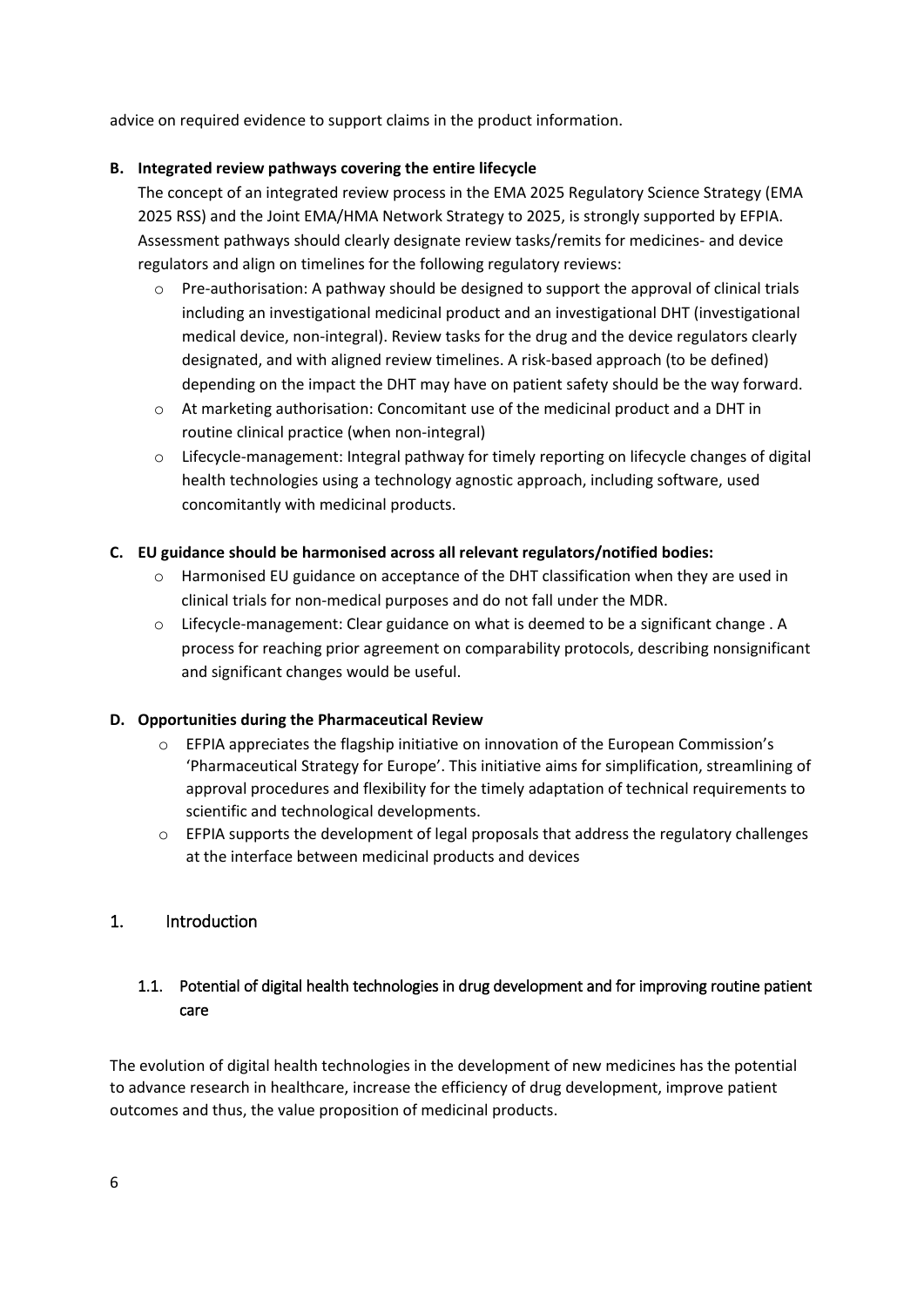advice on required evidence to support claims in the product information.

#### **B. Integrated review pathways covering the entire lifecycle**

The concept of an integrated review process in the EMA 2025 Regulatory Science Strategy (EMA 2025 RSS) and the Joint EMA/HMA Network Strategy to 2025, is strongly supported by EFPIA. Assessment pathways should clearly designate review tasks/remits for medicines- and device regulators and align on timelines for the following regulatory reviews:

- $\circ$  Pre-authorisation: A pathway should be designed to support the approval of clinical trials including an investigational medicinal product and an investigational DHT (investigational medical device, non-integral). Review tasks for the drug and the device regulators clearly designated, and with aligned review timelines. A risk-based approach (to be defined) depending on the impact the DHT may have on patient safety should be the way forward.
- o At marketing authorisation: Concomitant use of the medicinal product and a DHT in routine clinical practice (when non-integral)
- $\circ$  Lifecycle-management: Integral pathway for timely reporting on lifecycle changes of digital health technologies using a technology agnostic approach, including software, used concomitantly with medicinal products.

#### **C. EU guidance should be harmonised across all relevant regulators/notified bodies:**

- $\circ$  Harmonised EU guidance on acceptance of the DHT classification when they are used in clinical trials for non-medical purposes and do not fall under the MDR.
- o Lifecycle-management: Clear guidance on what is deemed to be a significant change . A process for reaching prior agreement on comparability protocols, describing nonsignificant and significant changes would be useful.

### **D. Opportunities during the Pharmaceutical Review**

- o EFPIA appreciates the flagship initiative on innovation of the European Commission's 'Pharmaceutical Strategy for Europe'. This initiative aims for simplification, streamlining of approval procedures and flexibility for the timely adaptation of technical requirements to scientific and technological developments.
- $\circ$  EFPIA supports the development of legal proposals that address the regulatory challenges at the interface between medicinal products and devices

### <span id="page-5-0"></span>1. Introduction

# <span id="page-5-1"></span>1.1. Potential of digital health technologies in drug development and for improving routine patient care

The evolution of digital health technologies in the development of new medicines has the potential to advance research in healthcare, increase the efficiency of drug development, improve patient outcomes and thus, the value proposition of medicinal products.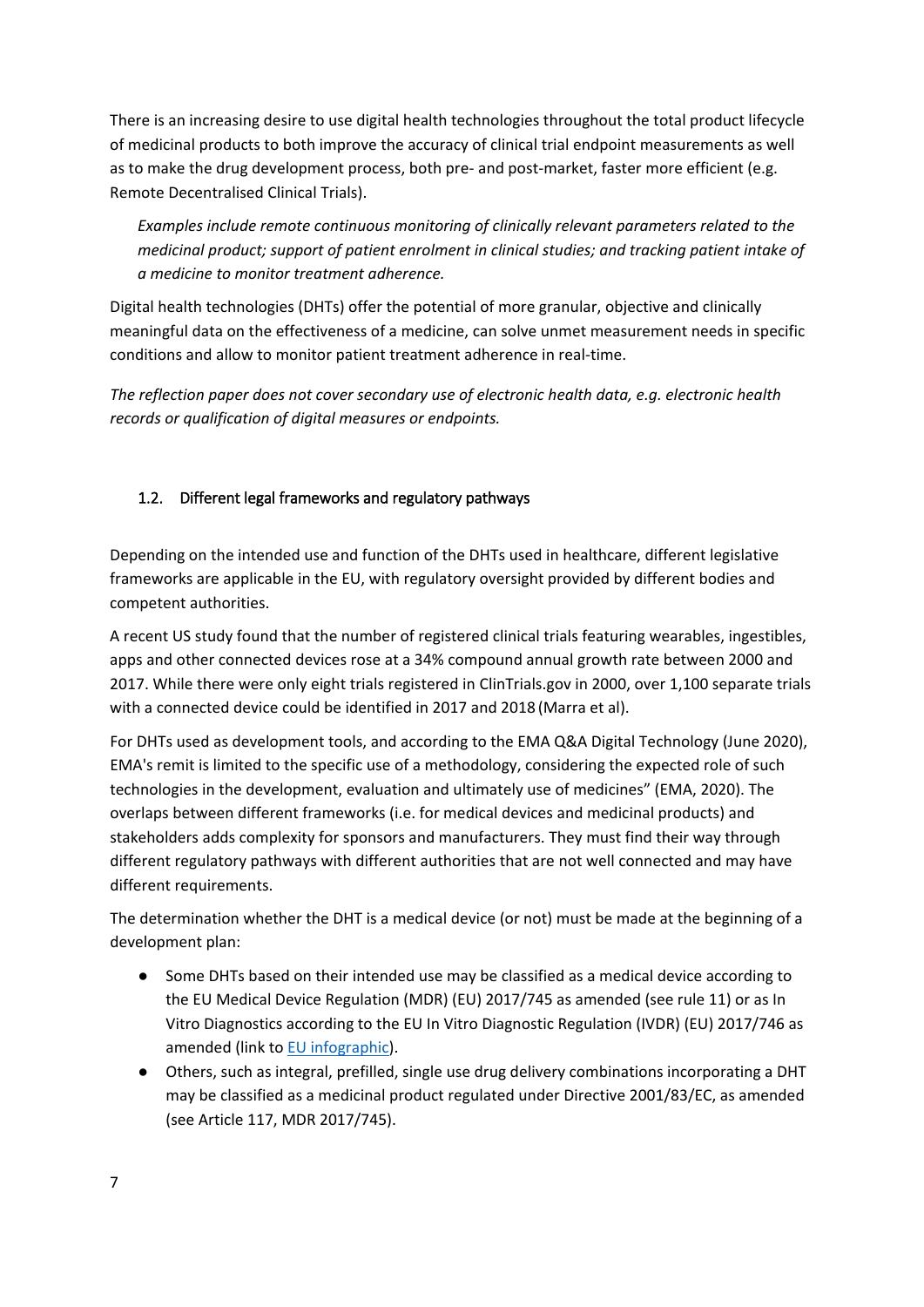There is an increasing desire to use digital health technologies throughout the total product lifecycle of medicinal products to both improve the accuracy of clinical trial endpoint measurements as well as to make the drug development process, both pre- and post-market, faster more efficient (e.g. Remote Decentralised Clinical Trials).

*Examples include remote continuous monitoring of clinically relevant parameters related to the medicinal product; support of patient enrolment in clinical studies; and tracking patient intake of a medicine to monitor treatment adherence.*

Digital health technologies (DHTs) offer the potential of more granular, objective and clinically meaningful data on the effectiveness of a medicine, can solve unmet measurement needs in specific conditions and allow to monitor patient treatment adherence in real-time.

*The reflection paper does not cover secondary use of electronic health data, e.g. electronic health records or qualification of digital measures or endpoints.* 

# <span id="page-6-0"></span>1.2. Different legal frameworks and regulatory pathways

Depending on the intended use and function of the DHTs used in healthcare, different legislative frameworks are applicable in the EU, with regulatory oversight provided by different bodies and competent authorities.

A recent US study found that the number of registered clinical trials featuring wearables, ingestibles, apps and other connected devices rose at a 34% compound annual growth rate between 2000 and 2017. While there were only eight trials registered in ClinTrials.gov in 2000, over 1,100 separate trials with a connected device could be identified in 2017 and 2018 (Marra et al).

For DHTs used as development tools, and according to the EMA Q&A Digital Technology (June 2020), EMA's remit is limited to the specific use of a methodology, considering the expected role of such technologies in the development, evaluation and ultimately use of medicines" (EMA, 2020). The overlaps between different frameworks (i.e. for medical devices and medicinal products) and stakeholders adds complexity for sponsors and manufacturers. They must find their way through different regulatory pathways with different authorities that are not well connected and may have different requirements.

The determination whether the DHT is a medical device (or not) must be made at the beginning of a development plan:

- Some DHTs based on their intended use may be classified as a medical device according to the EU Medical Device Regulation (MDR) (EU) 2017/745 as amended (see rule 11) or as In Vitro Diagnostics according to the EU In Vitro Diagnostic Regulation (IVDR) (EU) 2017/746 as amended (link to [EU infographic\)](https://ec.europa.eu/health/sites/health/files/md_sector/docs/md_mdcg_2021_mdsw_en.pdf).
- Others, such as integral, prefilled, single use drug delivery combinations incorporating a DHT may be classified as a medicinal product regulated under Directive 2001/83/EC, as amended (see Article 117, MDR 2017/745).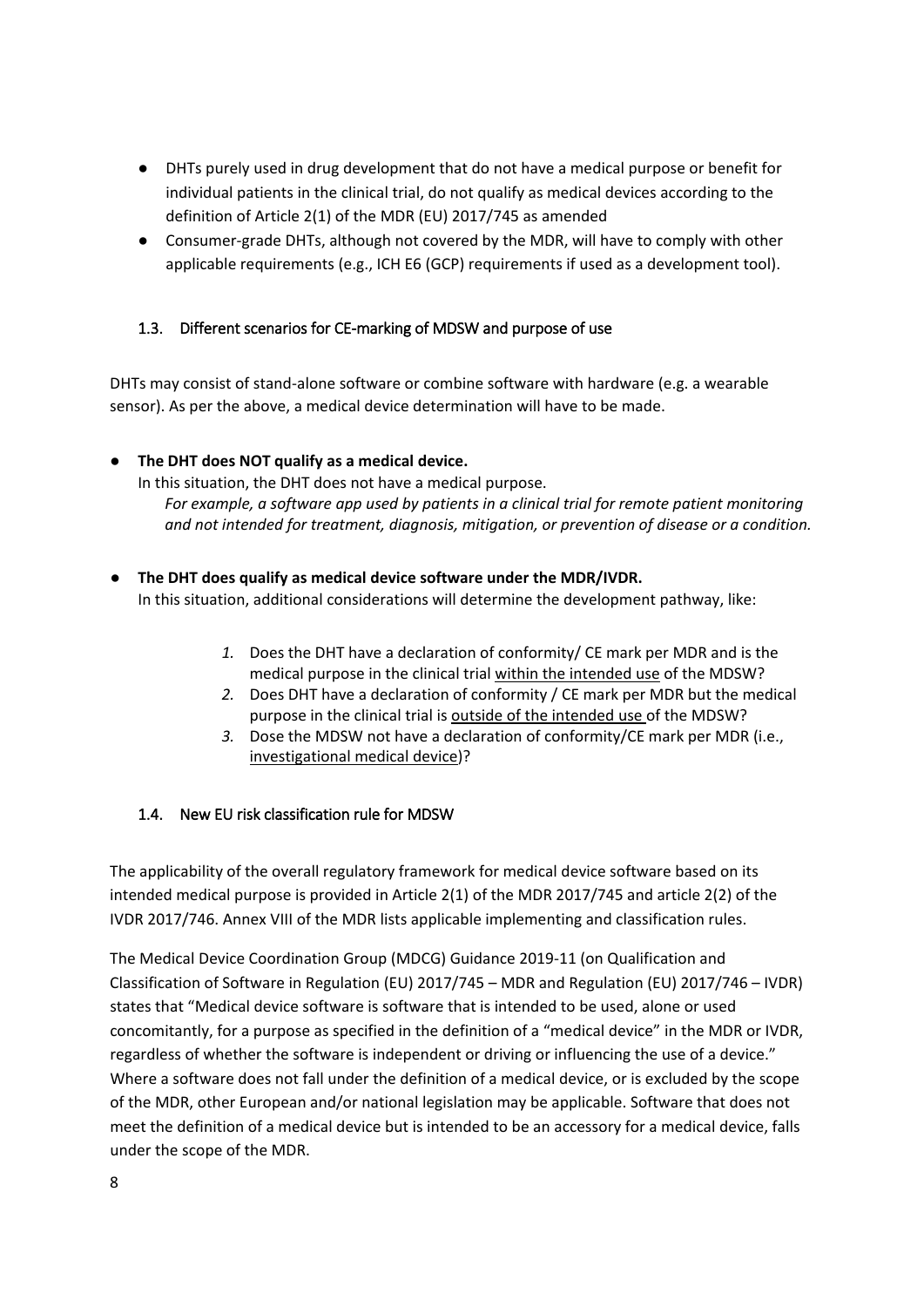- DHTs purely used in drug development that do not have a medical purpose or benefit for individual patients in the clinical trial, do not qualify as medical devices according to the definition of Article 2(1) of the MDR (EU) 2017/745 as amended
- Consumer-grade DHTs, although not covered by the MDR, will have to comply with other applicable requirements (e.g., ICH E6 (GCP) requirements if used as a development tool).

### <span id="page-7-0"></span>1.3. Different scenarios for CE-marking of MDSW and purpose of use

DHTs may consist of stand-alone software or combine software with hardware (e.g. a wearable sensor). As per the above, a medical device determination will have to be made.

### ● **The DHT does NOT qualify as a medical device.**

In this situation, the DHT does not have a medical purpose. *For example, a software app used by patients in a clinical trial for remote patient monitoring and not intended for treatment, diagnosis, mitigation, or prevention of disease or a condition.*

- **The DHT does qualify as medical device software under the MDR/IVDR.**  In this situation, additional considerations will determine the development pathway, like:
	- *1.* Does the DHT have a declaration of conformity/ CE mark per MDR and is the medical purpose in the clinical trial within the intended use of the MDSW?
	- *2.* Does DHT have a declaration of conformity / CE mark per MDR but the medical purpose in the clinical trial is outside of the intended use of the MDSW?
	- *3.* Dose the MDSW not have a declaration of conformity/CE mark per MDR (i.e., investigational medical device)?

### <span id="page-7-1"></span>1.4. New EU risk classification rule for MDSW

The applicability of the overall regulatory framework for medical device software based on its intended medical purpose is provided in Article 2(1) of the MDR 2017/745 and article 2(2) of the IVDR 2017/746. Annex VIII of the MDR lists applicable implementing and classification rules.

The Medical Device Coordination Group (MDCG) Guidance 2019-11 (on Qualification and Classification of Software in Regulation (EU) 2017/745 – MDR and Regulation (EU) 2017/746 – IVDR) states that "Medical device software is software that is intended to be used, alone or used concomitantly, for a purpose as specified in the definition of a "medical device" in the MDR or IVDR, regardless of whether the software is independent or driving or influencing the use of a device." Where a software does not fall under the definition of a medical device, or is excluded by the scope of the MDR, other European and/or national legislation may be applicable. Software that does not meet the definition of a medical device but is intended to be an accessory for a medical device, falls under the scope of the MDR.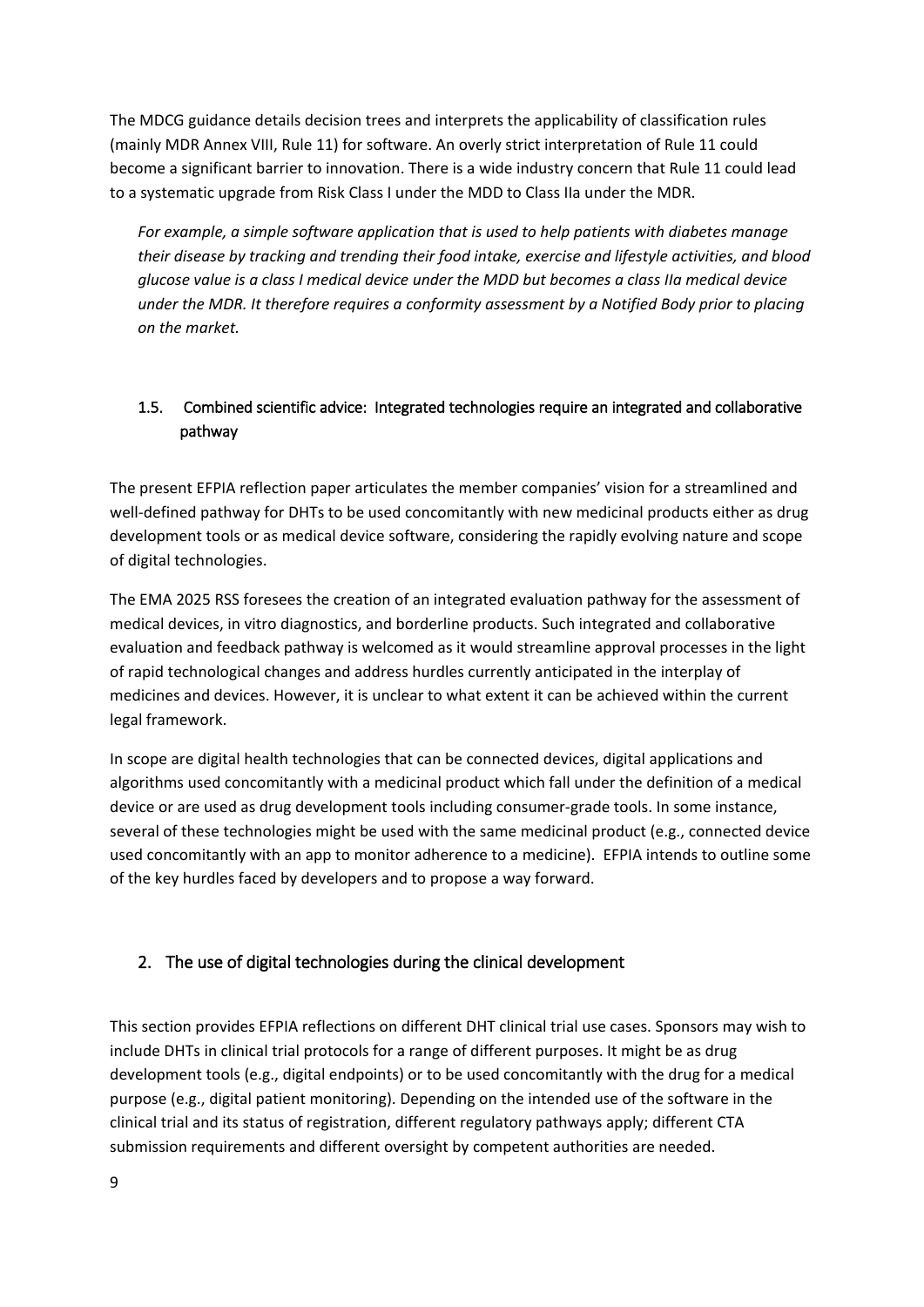The MDCG guidance details decision trees and interprets the applicability of classification rules (mainly MDR Annex VIII, Rule 11) for software. An overly strict interpretation of Rule 11 could become a significant barrier to innovation. There is a wide industry concern that Rule 11 could lead to a systematic upgrade from Risk Class I under the MDD to Class IIa under the MDR.

*For example, a simple software application that is used to help patients with diabetes manage their disease by tracking and trending their food intake, exercise and lifestyle activities, and blood glucose value is a class I medical device under the MDD but becomes a class IIa medical device under the MDR. It therefore requires a conformity assessment by a Notified Body prior to placing on the market.*

# <span id="page-8-0"></span>1.5. Combined scientific advice: Integrated technologies require an integrated and collaborative pathway

The present EFPIA reflection paper articulates the member companies' vision for a streamlined and well-defined pathway for DHTs to be used concomitantly with new medicinal products either as drug development tools or as medical device software, considering the rapidly evolving nature and scope of digital technologies.

The EMA 2025 RSS foresees the creation of an integrated evaluation pathway for the assessment of medical devices, in vitro diagnostics, and borderline products. Such integrated and collaborative evaluation and feedback pathway is welcomed as it would streamline approval processes in the light of rapid technological changes and address hurdles currently anticipated in the interplay of medicines and devices. However, it is unclear to what extent it can be achieved within the current legal framework.

In scope are digital health technologies that can be connected devices, digital applications and algorithms used concomitantly with a medicinal product which fall under the definition of a medical device or are used as drug development tools including consumer-grade tools. In some instance, several of these technologies might be used with the same medicinal product (e.g., connected device used concomitantly with an app to monitor adherence to a medicine). EFPIA intends to outline some of the key hurdles faced by developers and to propose a way forward.

# <span id="page-8-1"></span>2. The use of digital technologies during the clinical development

This section provides EFPIA reflections on different DHT clinical trial use cases. Sponsors may wish to include DHTs in clinical trial protocols for a range of different purposes. It might be as drug development tools (e.g., digital endpoints) or to be used concomitantly with the drug for a medical purpose (e.g., digital patient monitoring). Depending on the intended use of the software in the clinical trial and its status of registration, different regulatory pathways apply; different CTA submission requirements and different oversight by competent authorities are needed.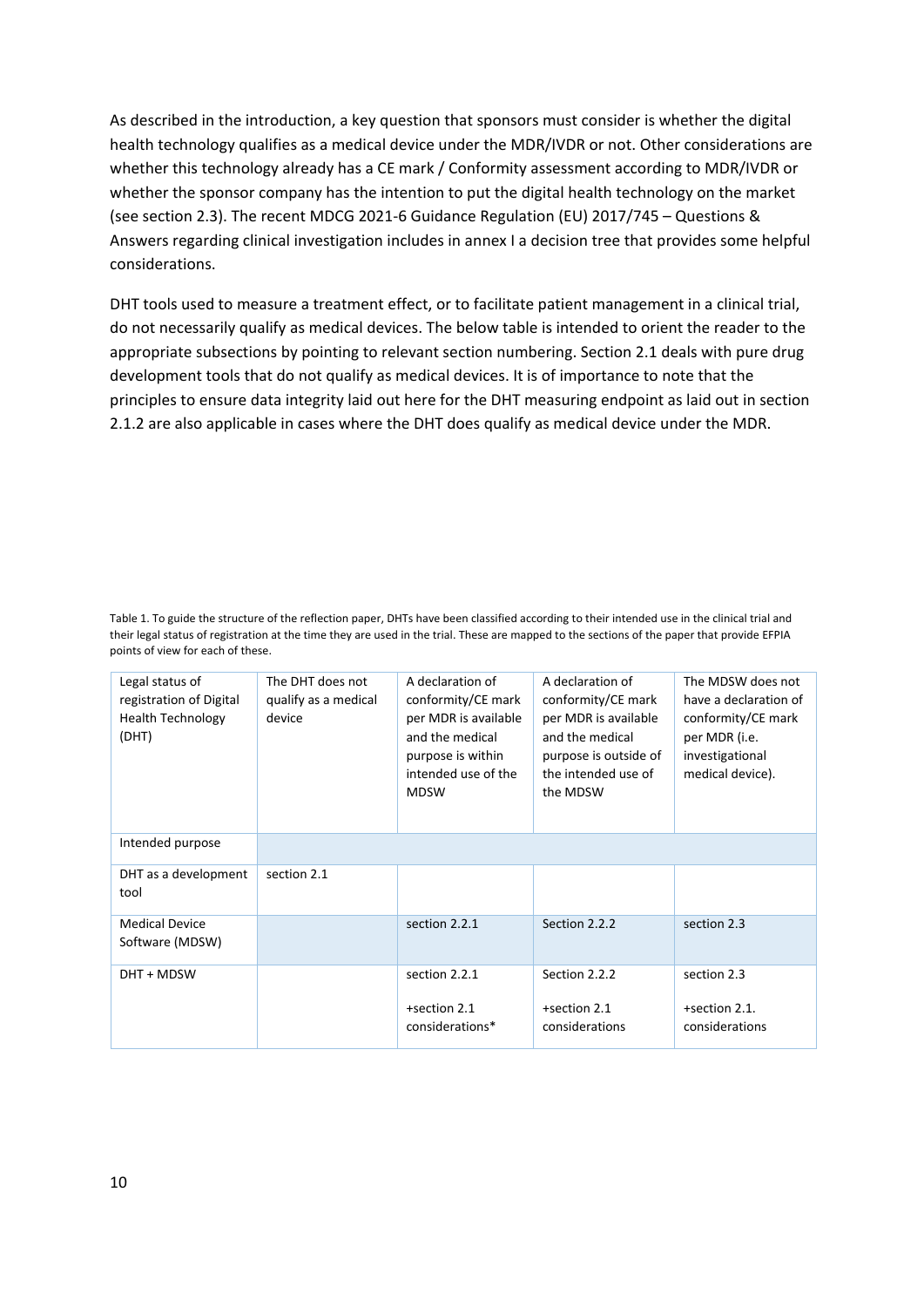As described in the introduction, a key question that sponsors must consider is whether the digital health technology qualifies as a medical device under the MDR/IVDR or not. Other considerations are whether this technology already has a CE mark / Conformity assessment according to MDR/IVDR or whether the sponsor company has the intention to put the digital health technology on the market (see section 2.3). The recent MDCG 2021-6 Guidance Regulation (EU) 2017/745 – Questions & Answers regarding clinical investigation includes in annex I a decision tree that provides some helpful considerations.

DHT tools used to measure a treatment effect, or to facilitate patient management in a clinical trial, do not necessarily qualify as medical devices. The below table is intended to orient the reader to the appropriate subsections by pointing to relevant section numbering. Section 2.1 deals with pure drug development tools that do not qualify as medical devices. It is of importance to note that the principles to ensure data integrity laid out here for the DHT measuring endpoint as laid out in section 2.1.2 are also applicable in cases where the DHT does qualify as medical device under the MDR.

Table 1. To guide the structure of the reflection paper, DHTs have been classified according to their intended use in the clinical trial and their legal status of registration at the time they are used in the trial. These are mapped to the sections of the paper that provide EFPIA points of view for each of these.

| Legal status of<br>registration of Digital<br><b>Health Technology</b><br>(DHT) | The DHT does not<br>qualify as a medical<br>device | A declaration of<br>conformity/CE mark<br>per MDR is available<br>and the medical<br>purpose is within<br>intended use of the<br><b>MDSW</b> | A declaration of<br>conformity/CE mark<br>per MDR is available<br>and the medical<br>purpose is outside of<br>the intended use of<br>the MDSW | The MDSW does not<br>have a declaration of<br>conformity/CE mark<br>per MDR (i.e.<br>investigational<br>medical device). |
|---------------------------------------------------------------------------------|----------------------------------------------------|----------------------------------------------------------------------------------------------------------------------------------------------|-----------------------------------------------------------------------------------------------------------------------------------------------|--------------------------------------------------------------------------------------------------------------------------|
| Intended purpose                                                                |                                                    |                                                                                                                                              |                                                                                                                                               |                                                                                                                          |
| DHT as a development<br>tool                                                    | section 2.1                                        |                                                                                                                                              |                                                                                                                                               |                                                                                                                          |
| <b>Medical Device</b><br>Software (MDSW)                                        |                                                    | section 2.2.1                                                                                                                                | Section 2.2.2                                                                                                                                 | section 2.3                                                                                                              |
| DHT + MDSW                                                                      |                                                    | section 2.2.1<br>+section 2.1<br>considerations*                                                                                             | Section 2.2.2<br>+section 2.1<br>considerations                                                                                               | section 2.3<br>+section 2.1.<br>considerations                                                                           |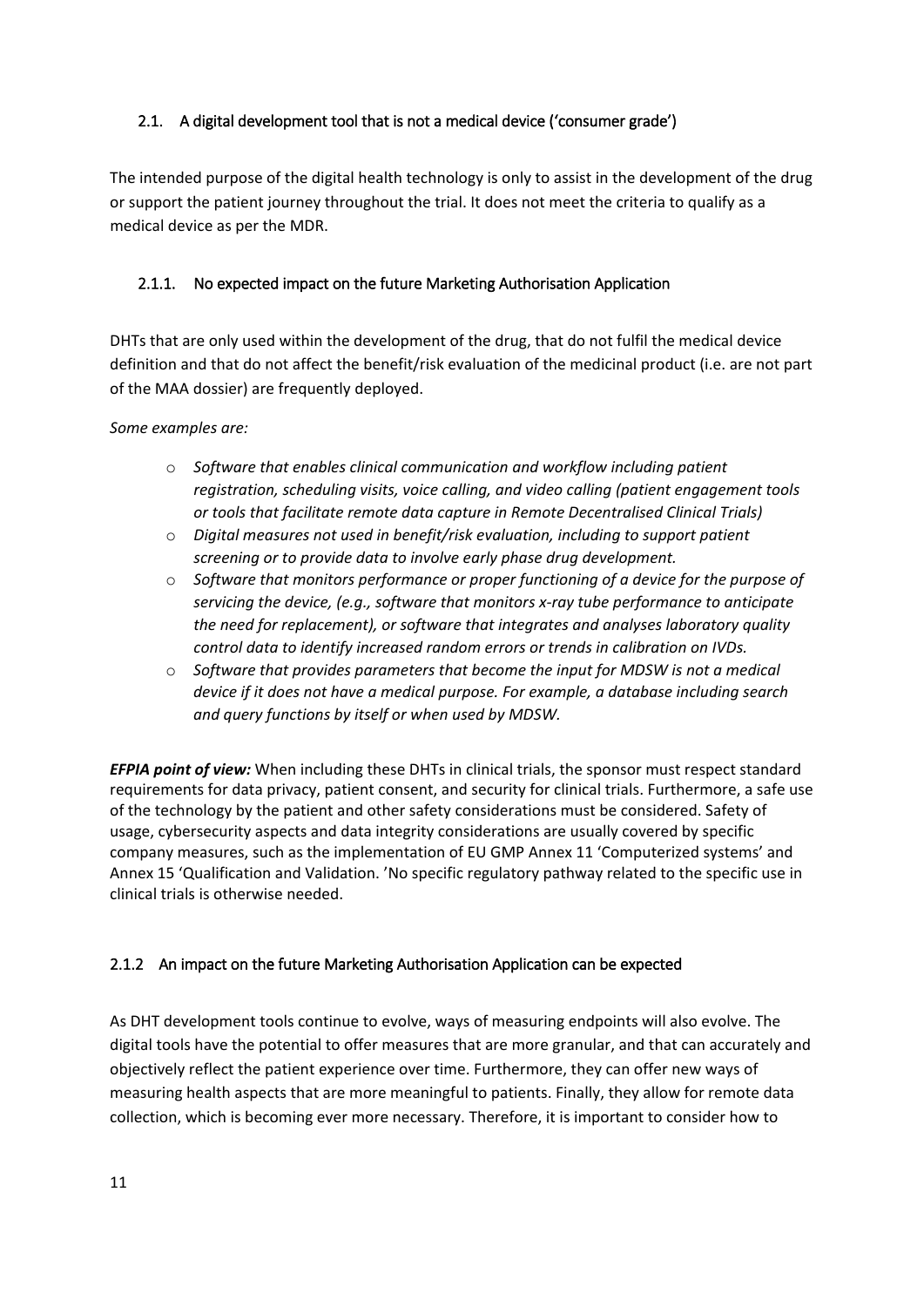# <span id="page-10-0"></span>2.1. A digital development tool that is not a medical device ('consumer grade')

The intended purpose of the digital health technology is only to assist in the development of the drug or support the patient journey throughout the trial. It does not meet the criteria to qualify as a medical device as per the MDR.

# <span id="page-10-1"></span>2.1.1. No expected impact on the future Marketing Authorisation Application

DHTs that are only used within the development of the drug, that do not fulfil the medical device definition and that do not affect the benefit/risk evaluation of the medicinal product (i.e. are not part of the MAA dossier) are frequently deployed.

#### *Some examples are:*

- o *Software that enables clinical communication and workflow including patient registration, scheduling visits, voice calling, and video calling (patient engagement tools or tools that facilitate remote data capture in Remote Decentralised Clinical Trials)*
- o *Digital measures not used in benefit/risk evaluation, including to support patient screening or to provide data to involve early phase drug development.*
- o *Software that monitors performance or proper functioning of a device for the purpose of servicing the device, (e.g., software that monitors x-ray tube performance to anticipate the need for replacement), or software that integrates and analyses laboratory quality control data to identify increased random errors or trends in calibration on IVDs.*
- o *Software that provides parameters that become the input for MDSW is not a medical device if it does not have a medical purpose. For example, a database including search and query functions by itself or when used by MDSW.*

*EFPIA point of view:* When including these DHTs in clinical trials, the sponsor must respect standard requirements for data privacy, patient consent, and security for clinical trials. Furthermore, a safe use of the technology by the patient and other safety considerations must be considered. Safety of usage, cybersecurity aspects and data integrity considerations are usually covered by specific company measures, such as the implementation of EU GMP Annex 11 'Computerized systems' and Annex 15 'Qualification and Validation. 'No specific regulatory pathway related to the specific use in clinical trials is otherwise needed.

### <span id="page-10-2"></span>2.1.2 An impact on the future Marketing Authorisation Application can be expected

As DHT development tools continue to evolve, ways of measuring endpoints will also evolve. The digital tools have the potential to offer measures that are more granular, and that can accurately and objectively reflect the patient experience over time. Furthermore, they can offer new ways of measuring health aspects that are more meaningful to patients. Finally, they allow for remote data collection, which is becoming ever more necessary. Therefore, it is important to consider how to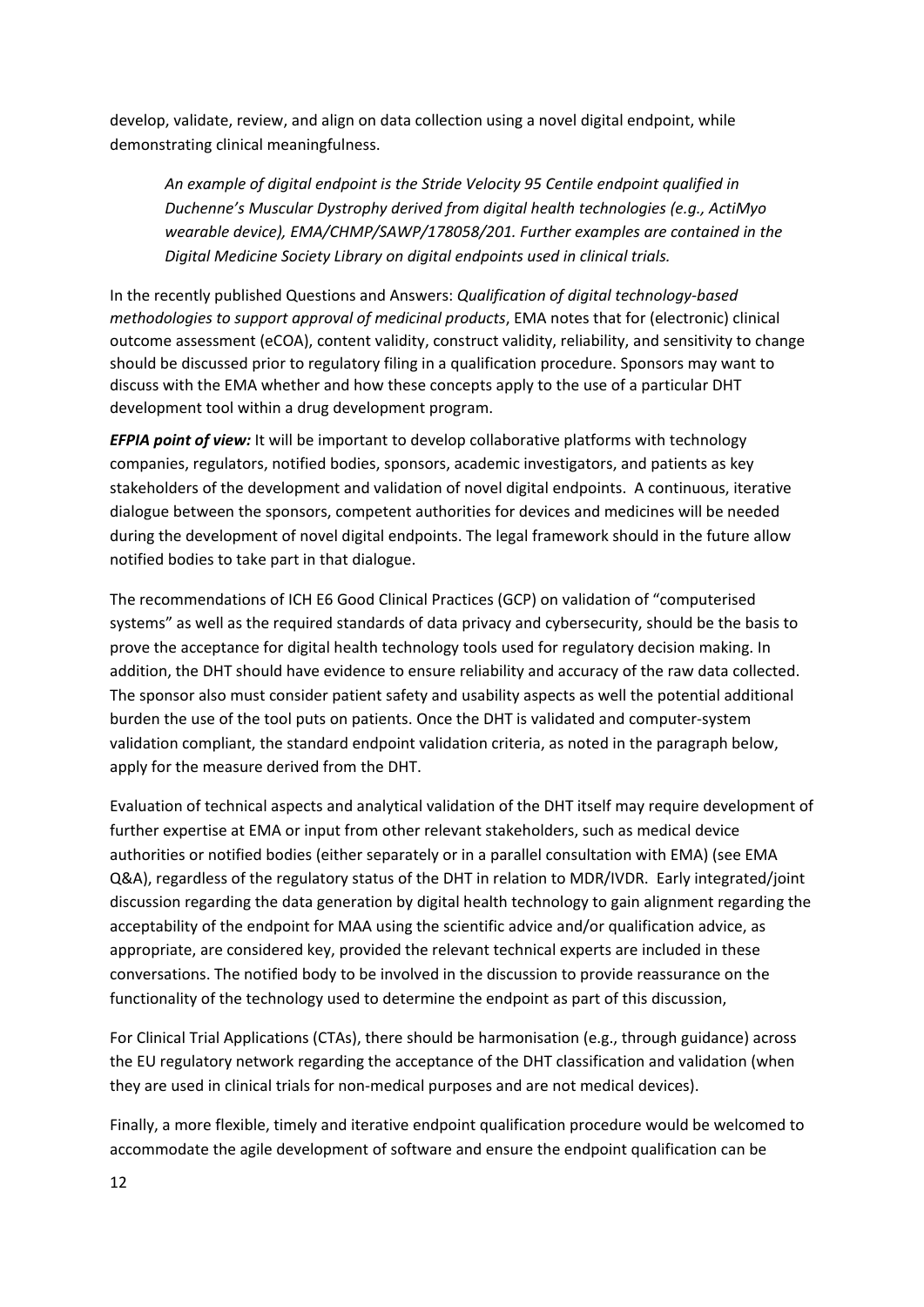develop, validate, review, and align on data collection using a novel digital endpoint, while demonstrating clinical meaningfulness.

*An example of digital endpoint is the Stride Velocity 95 Centile endpoint qualified in Duchenne's Muscular Dystrophy derived from digital health technologies (e.g., ActiMyo wearable device), EMA/CHMP/SAWP/178058/201. Further examples are contained in the Digital Medicine Society Library on digital endpoints used in clinical trials.*

In the recently published Questions and Answers: *Qualification of digital technology-based methodologies to support approval of medicinal products*, EMA notes that for (electronic) clinical outcome assessment (eCOA), content validity, construct validity, reliability, and sensitivity to change should be discussed prior to regulatory filing in a qualification procedure. Sponsors may want to discuss with the EMA whether and how these concepts apply to the use of a particular DHT development tool within a drug development program.

*EFPIA point of view:* It will be important to develop collaborative platforms with technology companies, regulators, notified bodies, sponsors, academic investigators, and patients as key stakeholders of the development and validation of novel digital endpoints. A continuous, iterative dialogue between the sponsors, competent authorities for devices and medicines will be needed during the development of novel digital endpoints. The legal framework should in the future allow notified bodies to take part in that dialogue.

The recommendations of ICH E6 Good Clinical Practices (GCP) on validation of "computerised systems" as well as the required standards of data privacy and cybersecurity, should be the basis to prove the acceptance for digital health technology tools used for regulatory decision making. In addition, the DHT should have evidence to ensure reliability and accuracy of the raw data collected. The sponsor also must consider patient safety and usability aspects as well the potential additional burden the use of the tool puts on patients. Once the DHT is validated and computer-system validation compliant, the standard endpoint validation criteria, as noted in the paragraph below, apply for the measure derived from the DHT.

Evaluation of technical aspects and analytical validation of the DHT itself may require development of further expertise at EMA or input from other relevant stakeholders, such as medical device authorities or notified bodies (either separately or in a parallel consultation with EMA) (see EMA Q&A), regardless of the regulatory status of the DHT in relation to MDR/IVDR. Early integrated/joint discussion regarding the data generation by digital health technology to gain alignment regarding the acceptability of the endpoint for MAA using the scientific advice and/or qualification advice, as appropriate, are considered key, provided the relevant technical experts are included in these conversations. The notified body to be involved in the discussion to provide reassurance on the functionality of the technology used to determine the endpoint as part of this discussion,

For Clinical Trial Applications (CTAs), there should be harmonisation (e.g., through guidance) across the EU regulatory network regarding the acceptance of the DHT classification and validation (when they are used in clinical trials for non-medical purposes and are not medical devices).

Finally, a more flexible, timely and iterative endpoint qualification procedure would be welcomed to accommodate the agile development of software and ensure the endpoint qualification can be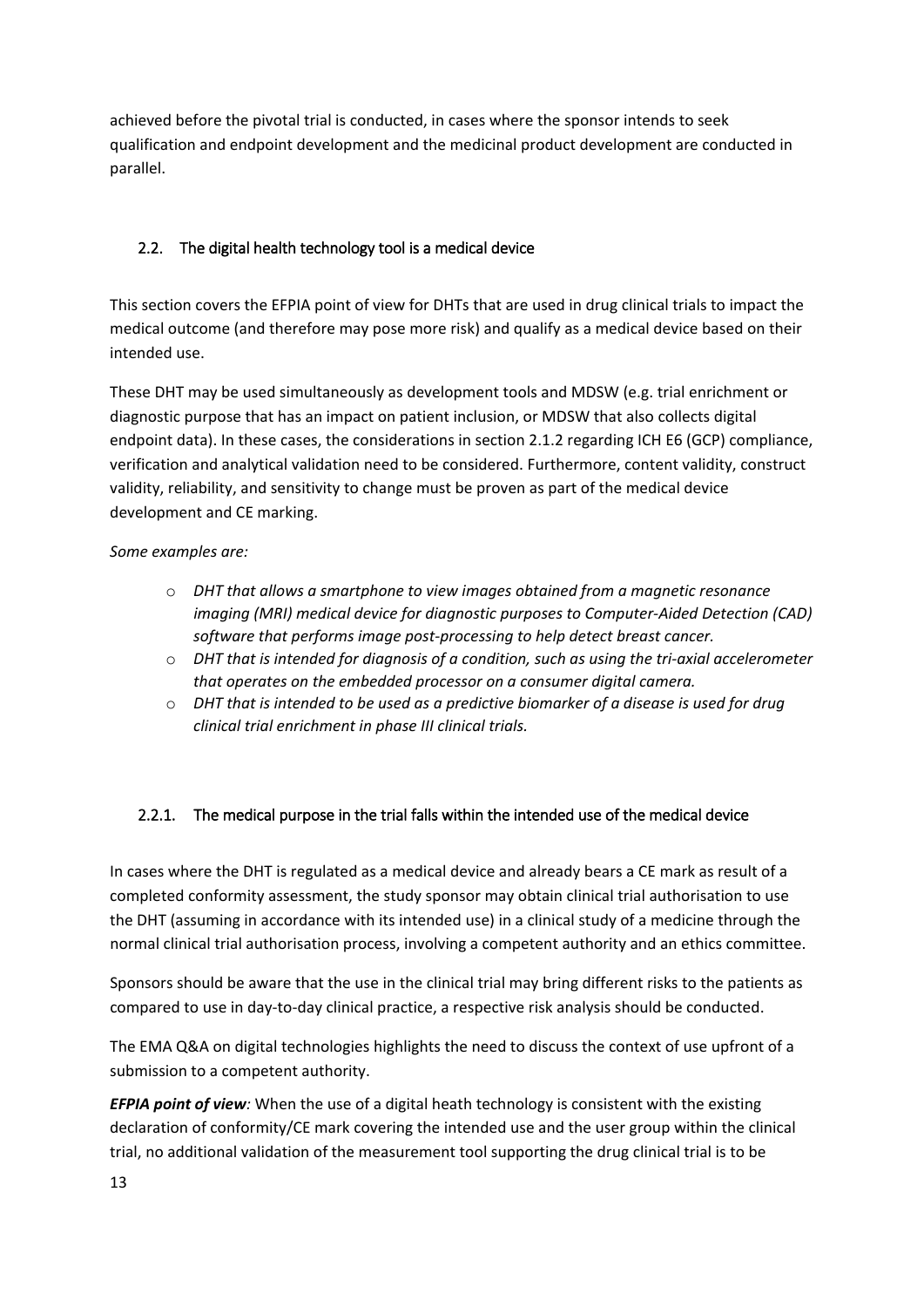achieved before the pivotal trial is conducted, in cases where the sponsor intends to seek qualification and endpoint development and the medicinal product development are conducted in parallel.

# <span id="page-12-0"></span>2.2. The digital health technology tool is a medical device

This section covers the EFPIA point of view for DHTs that are used in drug clinical trials to impact the medical outcome (and therefore may pose more risk) and qualify as a medical device based on their intended use.

These DHT may be used simultaneously as development tools and MDSW (e.g. trial enrichment or diagnostic purpose that has an impact on patient inclusion, or MDSW that also collects digital endpoint data). In these cases, the considerations in section 2.1.2 regarding ICH E6 (GCP) compliance, verification and analytical validation need to be considered. Furthermore, content validity, construct validity, reliability, and sensitivity to change must be proven as part of the medical device development and CE marking.

# *Some examples are:*

- o *DHT that allows a smartphone to view images obtained from a magnetic resonance imaging (MRI) medical device for diagnostic purposes to Computer-Aided Detection (CAD) software that performs image post-processing to help detect breast cancer.*
- o *DHT that is intended for diagnosis of a condition, such as using the tri-axial accelerometer that operates on the embedded processor on a consumer digital camera.*
- o *DHT that is intended to be used as a predictive biomarker of a disease is used for drug clinical trial enrichment in phase III clinical trials.*

# <span id="page-12-1"></span>2.2.1. The medical purpose in the trial falls within the intended use of the medical device

In cases where the DHT is regulated as a medical device and already bears a CE mark as result of a completed conformity assessment, the study sponsor may obtain clinical trial authorisation to use the DHT (assuming in accordance with its intended use) in a clinical study of a medicine through the normal clinical trial authorisation process, involving a competent authority and an ethics committee.

Sponsors should be aware that the use in the clinical trial may bring different risks to the patients as compared to use in day-to-day clinical practice, a respective risk analysis should be conducted.

The EMA Q&A on digital technologies highlights the need to discuss the context of use upfront of a submission to a competent authority.

*EFPIA point of view:* When the use of a digital heath technology is consistent with the existing declaration of conformity/CE mark covering the intended use and the user group within the clinical trial, no additional validation of the measurement tool supporting the drug clinical trial is to be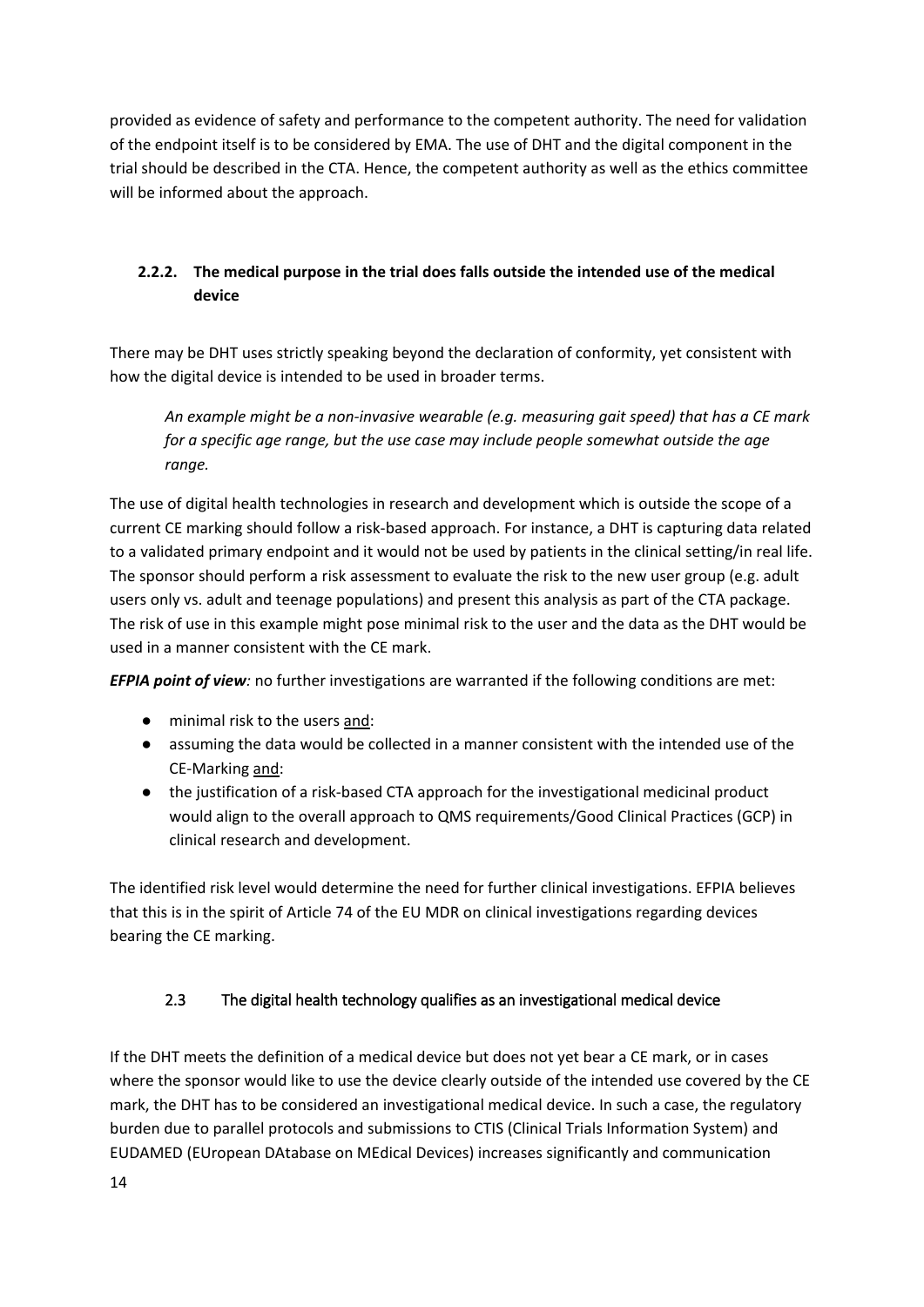provided as evidence of safety and performance to the competent authority. The need for validation of the endpoint itself is to be considered by EMA. The use of DHT and the digital component in the trial should be described in the CTA. Hence, the competent authority as well as the ethics committee will be informed about the approach.

# **2.2.2. The medical purpose in the trial does falls outside the intended use of the medical device**

There may be DHT uses strictly speaking beyond the declaration of conformity, yet consistent with how the digital device is intended to be used in broader terms.

*An example might be a non-invasive wearable (e.g. measuring gait speed) that has a CE mark for a specific age range, but the use case may include people somewhat outside the age range.* 

The use of digital health technologies in research and development which is outside the scope of a current CE marking should follow a risk-based approach. For instance, a DHT is capturing data related to a validated primary endpoint and it would not be used by patients in the clinical setting/in real life. The sponsor should perform a risk assessment to evaluate the risk to the new user group (e.g. adult users only vs. adult and teenage populations) and present this analysis as part of the CTA package. The risk of use in this example might pose minimal risk to the user and the data as the DHT would be used in a manner consistent with the CE mark.

*EFPIA point of view:* no further investigations are warranted if the following conditions are met:

- minimal risk to the users and:
- assuming the data would be collected in a manner consistent with the intended use of the CE-Marking and:
- the justification of a risk-based CTA approach for the investigational medicinal product would align to the overall approach to QMS requirements/Good Clinical Practices (GCP) in clinical research and development.

The identified risk level would determine the need for further clinical investigations. EFPIA believes that this is in the spirit of Article 74 of the EU MDR on clinical investigations regarding devices bearing the CE marking.

# <span id="page-13-0"></span>2.3 The digital health technology qualifies as an investigational medical device

If the DHT meets the definition of a medical device but does not yet bear a CE mark, or in cases where the sponsor would like to use the device clearly outside of the intended use covered by the CE mark, the DHT has to be considered an investigational medical device. In such a case, the regulatory burden due to parallel protocols and submissions to CTIS (Clinical Trials Information System) and EUDAMED (EUropean DAtabase on MEdical Devices) increases significantly and communication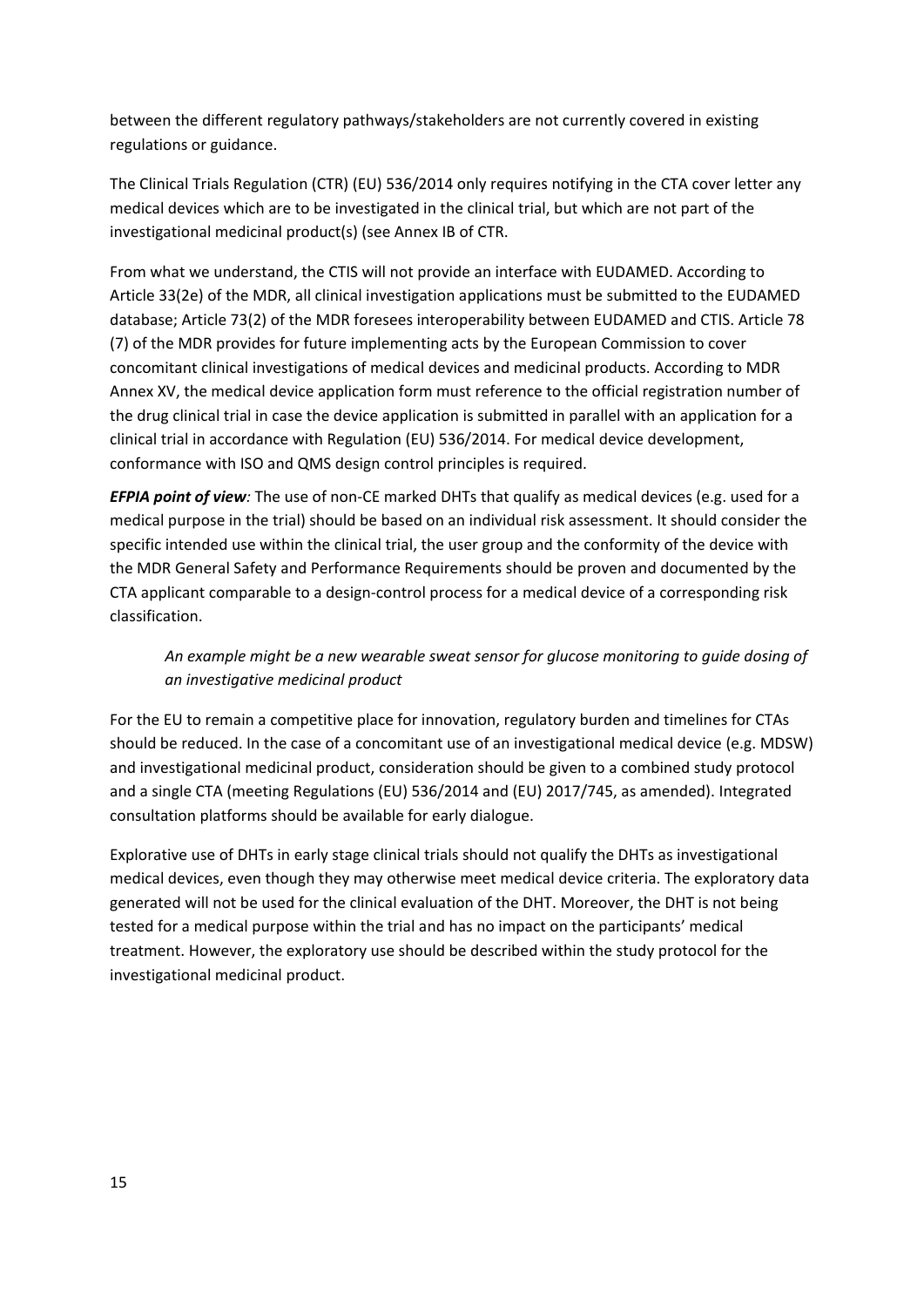between the different regulatory pathways/stakeholders are not currently covered in existing regulations or guidance.

The Clinical Trials Regulation (CTR) (EU) 536/2014 only requires notifying in the CTA cover letter any medical devices which are to be investigated in the clinical trial, but which are not part of the investigational medicinal product(s) (see Annex IB of CTR.

From what we understand, the CTIS will not provide an interface with EUDAMED. According to Article 33(2e) of the MDR, all clinical investigation applications must be submitted to the EUDAMED database; Article 73(2) of the MDR foresees interoperability between EUDAMED and CTIS. Article 78 (7) of the MDR provides for future implementing acts by the European Commission to cover concomitant clinical investigations of medical devices and medicinal products. According to MDR Annex XV, the medical device application form must reference to the official registration number of the drug clinical trial in case the device application is submitted in parallel with an application for a clinical trial in accordance with Regulation (EU) 536/2014. For medical device development, conformance with ISO and QMS design control principles is required.

*EFPIA point of view:* The use of non-CE marked DHTs that qualify as medical devices (e.g. used for a medical purpose in the trial) should be based on an individual risk assessment. It should consider the specific intended use within the clinical trial, the user group and the conformity of the device with the MDR General Safety and Performance Requirements should be proven and documented by the CTA applicant comparable to a design-control process for a medical device of a corresponding risk classification.

# *An example might be a new wearable sweat sensor for glucose monitoring to guide dosing of an investigative medicinal product*

For the EU to remain a competitive place for innovation, regulatory burden and timelines for CTAs should be reduced. In the case of a concomitant use of an investigational medical device (e.g. MDSW) and investigational medicinal product, consideration should be given to a combined study protocol and a single CTA (meeting Regulations (EU) 536/2014 and (EU) 2017/745, as amended). Integrated consultation platforms should be available for early dialogue.

Explorative use of DHTs in early stage clinical trials should not qualify the DHTs as investigational medical devices, even though they may otherwise meet medical device criteria. The exploratory data generated will not be used for the clinical evaluation of the DHT. Moreover, the DHT is not being tested for a medical purpose within the trial and has no impact on the participants' medical treatment. However, the exploratory use should be described within the study protocol for the investigational medicinal product.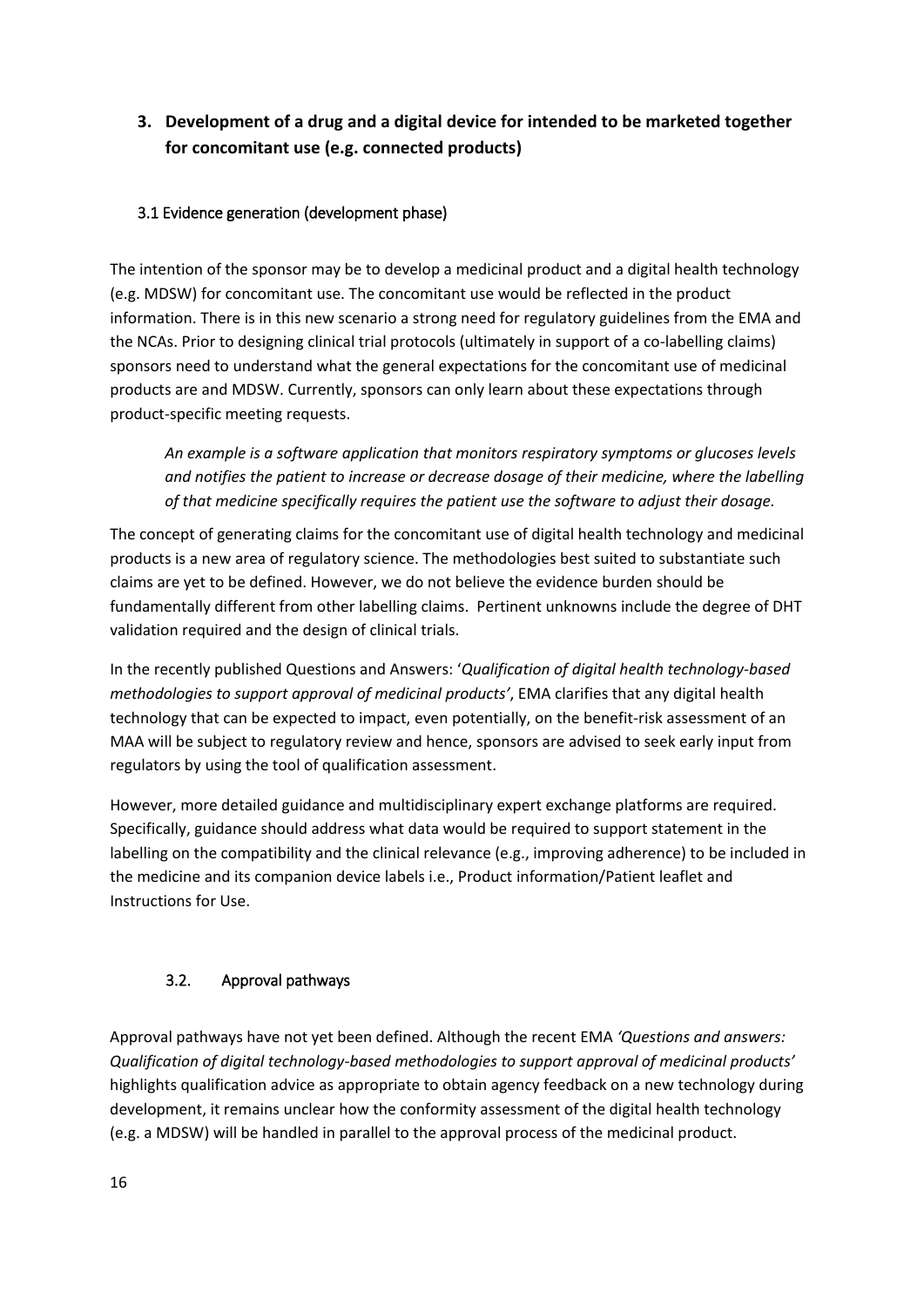# **3. Development of a drug and a digital device for intended to be marketed together for concomitant use (e.g. connected products)**

# <span id="page-15-0"></span>3.1 Evidence generation (development phase)

The intention of the sponsor may be to develop a medicinal product and a digital health technology (e.g. MDSW) for concomitant use. The concomitant use would be reflected in the product information. There is in this new scenario a strong need for regulatory guidelines from the EMA and the NCAs. Prior to designing clinical trial protocols (ultimately in support of a co-labelling claims) sponsors need to understand what the general expectations for the concomitant use of medicinal products are and MDSW. Currently, sponsors can only learn about these expectations through product-specific meeting requests.

*An example is a software application that monitors respiratory symptoms or glucoses levels and notifies the patient to increase or decrease dosage of their medicine, where the labelling of that medicine specifically requires the patient use the software to adjust their dosage.*

The concept of generating claims for the concomitant use of digital health technology and medicinal products is a new area of regulatory science. The methodologies best suited to substantiate such claims are yet to be defined. However, we do not believe the evidence burden should be fundamentally different from other labelling claims. Pertinent unknowns include the degree of DHT validation required and the design of clinical trials.

In the recently published Questions and Answers: '*Qualification of digital health technology-based methodologies to support approval of medicinal products'*, EMA clarifies that any digital health technology that can be expected to impact, even potentially, on the benefit-risk assessment of an MAA will be subject to regulatory review and hence, sponsors are advised to seek early input from regulators by using the tool of qualification assessment.

However, more detailed guidance and multidisciplinary expert exchange platforms are required. Specifically, guidance should address what data would be required to support statement in the labelling on the compatibility and the clinical relevance (e.g., improving adherence) to be included in the medicine and its companion device labels i.e., Product information/Patient leaflet and Instructions for Use.

# <span id="page-15-1"></span>3.2. Approval pathways

Approval pathways have not yet been defined. Although the recent EMA *'Questions and answers: Qualification of digital technology-based methodologies to support approval of medicinal products'* highlights qualification advice as appropriate to obtain agency feedback on a new technology during development, it remains unclear how the conformity assessment of the digital health technology (e.g. a MDSW) will be handled in parallel to the approval process of the medicinal product.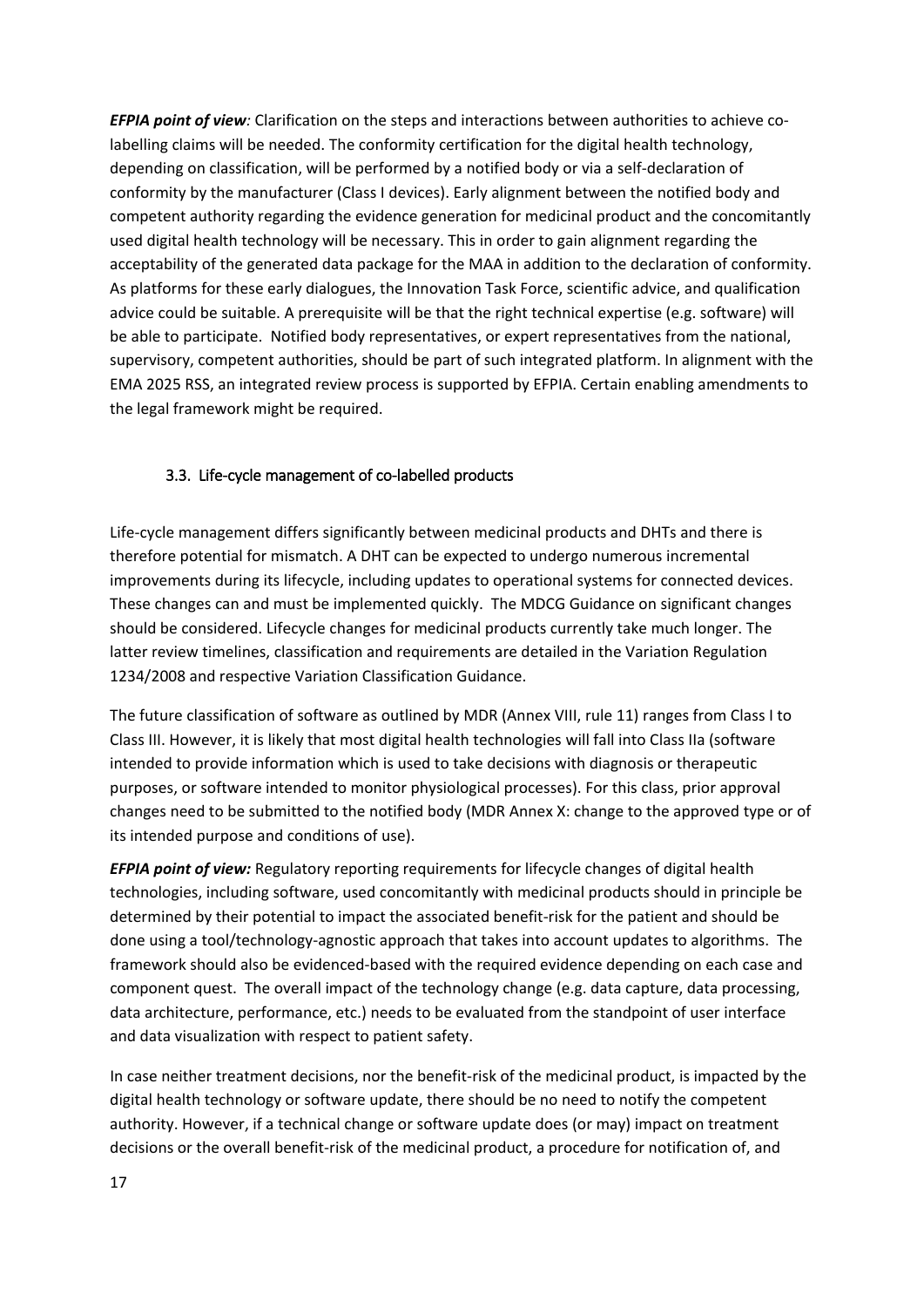*EFPIA point of view:* Clarification on the steps and interactions between authorities to achieve colabelling claims will be needed. The conformity certification for the digital health technology, depending on classification, will be performed by a notified body or via a self-declaration of conformity by the manufacturer (Class I devices). Early alignment between the notified body and competent authority regarding the evidence generation for medicinal product and the concomitantly used digital health technology will be necessary. This in order to gain alignment regarding the acceptability of the generated data package for the MAA in addition to the declaration of conformity. As platforms for these early dialogues, the Innovation Task Force, scientific advice, and qualification advice could be suitable. A prerequisite will be that the right technical expertise (e.g. software) will be able to participate. Notified body representatives, or expert representatives from the national, supervisory, competent authorities, should be part of such integrated platform. In alignment with the EMA 2025 RSS, an integrated review process is supported by EFPIA. Certain enabling amendments to the legal framework might be required.

# <span id="page-16-0"></span>3.3. Life-cycle management of co-labelled products

Life-cycle management differs significantly between medicinal products and DHTs and there is therefore potential for mismatch. A DHT can be expected to undergo numerous incremental improvements during its lifecycle, including updates to operational systems for connected devices. These changes can and must be implemented quickly. The MDCG Guidance on significant changes should be considered. Lifecycle changes for medicinal products currently take much longer. The latter review timelines, classification and requirements are detailed in the Variation Regulation 1234/2008 and respective Variation Classification Guidance.

The future classification of software as outlined by MDR (Annex VIII, rule 11) ranges from Class I to Class III. However, it is likely that most digital health technologies will fall into Class IIa (software intended to provide information which is used to take decisions with diagnosis or therapeutic purposes, or software intended to monitor physiological processes). For this class, prior approval changes need to be submitted to the notified body (MDR Annex X: change to the approved type or of its intended purpose and conditions of use).

*EFPIA point of view:* Regulatory reporting requirements for lifecycle changes of digital health technologies, including software, used concomitantly with medicinal products should in principle be determined by their potential to impact the associated benefit-risk for the patient and should be done using a tool/technology-agnostic approach that takes into account updates to algorithms. The framework should also be evidenced-based with the required evidence depending on each case and component quest. The overall impact of the technology change (e.g. data capture, data processing, data architecture, performance, etc.) needs to be evaluated from the standpoint of user interface and data visualization with respect to patient safety.

In case neither treatment decisions, nor the benefit-risk of the medicinal product, is impacted by the digital health technology or software update, there should be no need to notify the competent authority. However, if a technical change or software update does (or may) impact on treatment decisions or the overall benefit-risk of the medicinal product, a procedure for notification of, and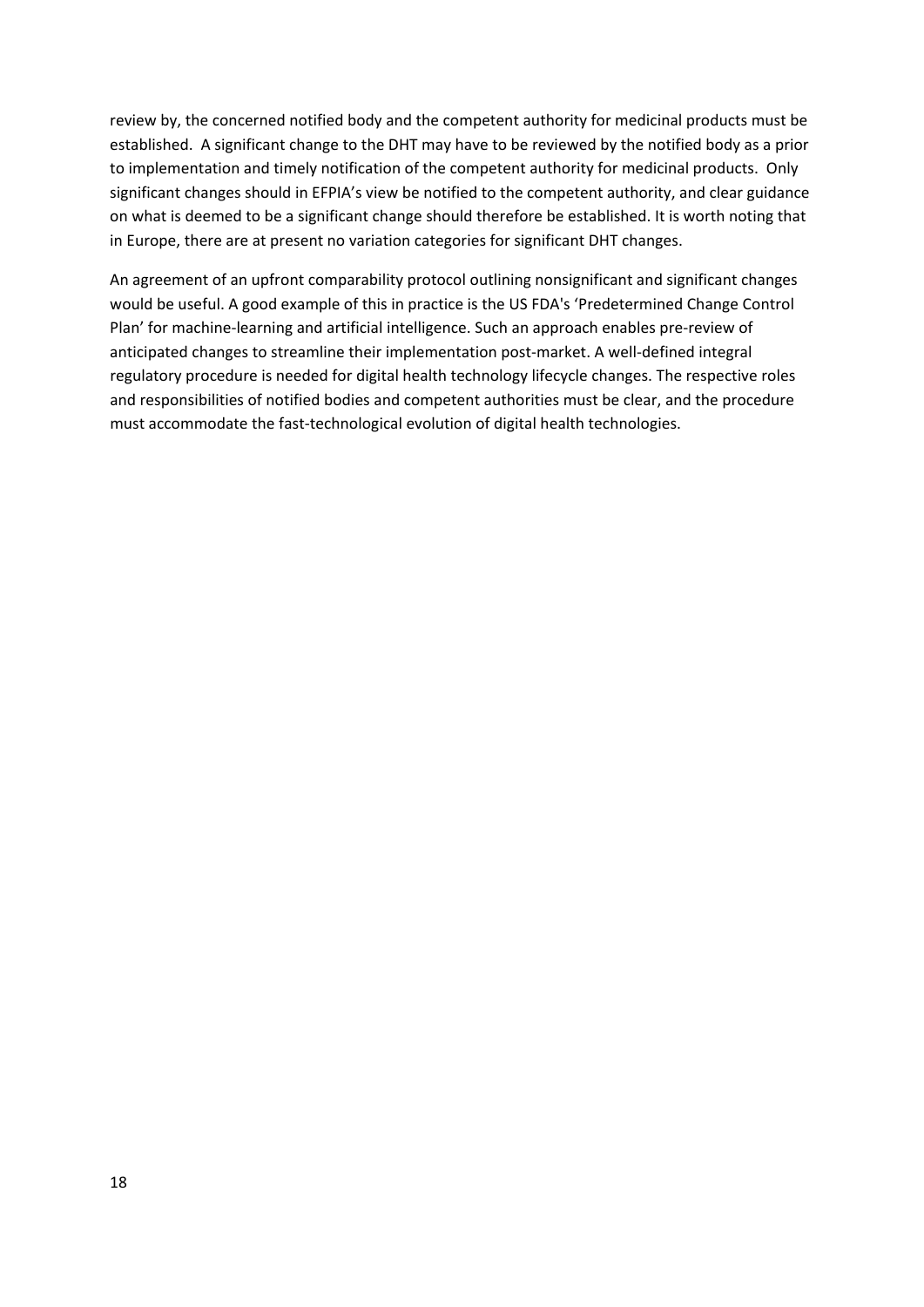review by, the concerned notified body and the competent authority for medicinal products must be established. A significant change to the DHT may have to be reviewed by the notified body as a prior to implementation and timely notification of the competent authority for medicinal products. Only significant changes should in EFPIA's view be notified to the competent authority, and clear guidance on what is deemed to be a significant change should therefore be established. It is worth noting that in Europe, there are at present no variation categories for significant DHT changes.

An agreement of an upfront comparability protocol outlining nonsignificant and significant changes would be useful. A good example of this in practice is the US FDA's 'Predetermined Change Control Plan' for machine-learning and artificial intelligence. Such an approach enables pre-review of anticipated changes to streamline their implementation post-market. A well-defined integral regulatory procedure is needed for digital health technology lifecycle changes. The respective roles and responsibilities of notified bodies and competent authorities must be clear, and the procedure must accommodate the fast-technological evolution of digital health technologies.